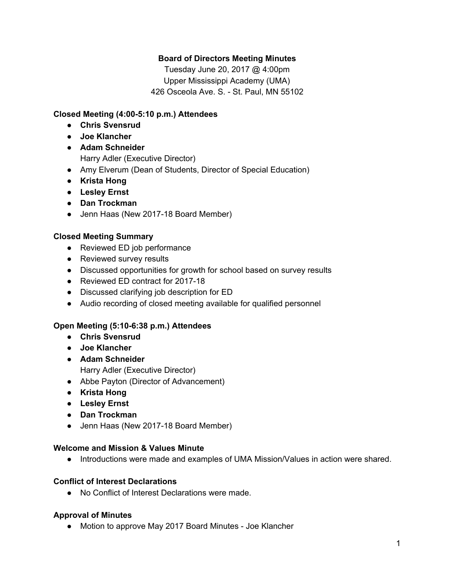## **Board of Directors Meeting Minutes**

Tuesday June 20, 2017 @ 4:00pm Upper Mississippi Academy (UMA) 426 Osceola Ave. S. - St. Paul, MN 55102

## **Closed Meeting (4:00-5:10 p.m.) Attendees**

- **● Chris Svensrud**
- **● Joe Klancher**
- **Adam Schneider** Harry Adler (Executive Director)
- Amy Elverum (Dean of Students, Director of Special Education)
- **● Krista Hong**
- **● Lesley Ernst**
- **● Dan Trockman**
- Jenn Haas (New 2017-18 Board Member)

## **Closed Meeting Summary**

- Reviewed ED job performance
- Reviewed survey results
- Discussed opportunities for growth for school based on survey results
- Reviewed ED contract for 2017-18
- Discussed clarifying job description for ED
- Audio recording of closed meeting available for qualified personnel

## **Open Meeting (5:10-6:38 p.m.) Attendees**

- **● Chris Svensrud**
- **● Joe Klancher**
- **Adam Schneider** Harry Adler (Executive Director)
- Abbe Payton (Director of Advancement)
- **● Krista Hong**
- **● Lesley Ernst**
- **● Dan Trockman**
- Jenn Haas (New 2017-18 Board Member)

#### **Welcome and Mission & Values Minute**

● Introductions were made and examples of UMA Mission/Values in action were shared.

#### **Conflict of Interest Declarations**

● No Conflict of Interest Declarations were made.

#### **Approval of Minutes**

● Motion to approve May 2017 Board Minutes - Joe Klancher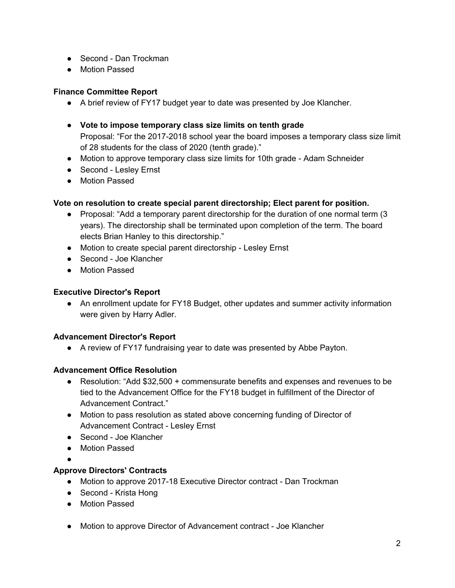- Second Dan Trockman
- Motion Passed

## **Finance Committee Report**

- A brief review of FY17 budget year to date was presented by Joe Klancher.
- **Vote to impose temporary class size limits on tenth grade** Proposal: "For the 2017-2018 school year the board imposes a temporary class size limit of 28 students for the class of 2020 (tenth grade)."
- Motion to approve temporary class size limits for 10th grade Adam Schneider
- Second Lesley Ernst
- Motion Passed

## **Vote on resolution to create special parent directorship; Elect parent for position.**

- Proposal: "Add a temporary parent directorship for the duration of one normal term (3) years). The directorship shall be terminated upon completion of the term. The board elects Brian Hanley to this directorship."
- Motion to create special parent directorship Lesley Ernst
- Second Joe Klancher
- Motion Passed

## **Executive Director's Report**

• An enrollment update for FY18 Budget, other updates and summer activity information were given by Harry Adler.

## **Advancement Director's Report**

● A review of FY17 fundraising year to date was presented by Abbe Payton.

# **Advancement Office Resolution**

- Resolution: "Add \$32,500 + commensurate benefits and expenses and revenues to be tied to the Advancement Office for the FY18 budget in fulfillment of the Director of Advancement Contract."
- Motion to pass resolution as stated above concerning funding of Director of Advancement Contract - Lesley Ernst
- Second Joe Klancher
- Motion Passed

●

## **Approve Directors' Contracts**

- Motion to approve 2017-18 Executive Director contract Dan Trockman
- Second Krista Hong
- Motion Passed
- Motion to approve Director of Advancement contract Joe Klancher